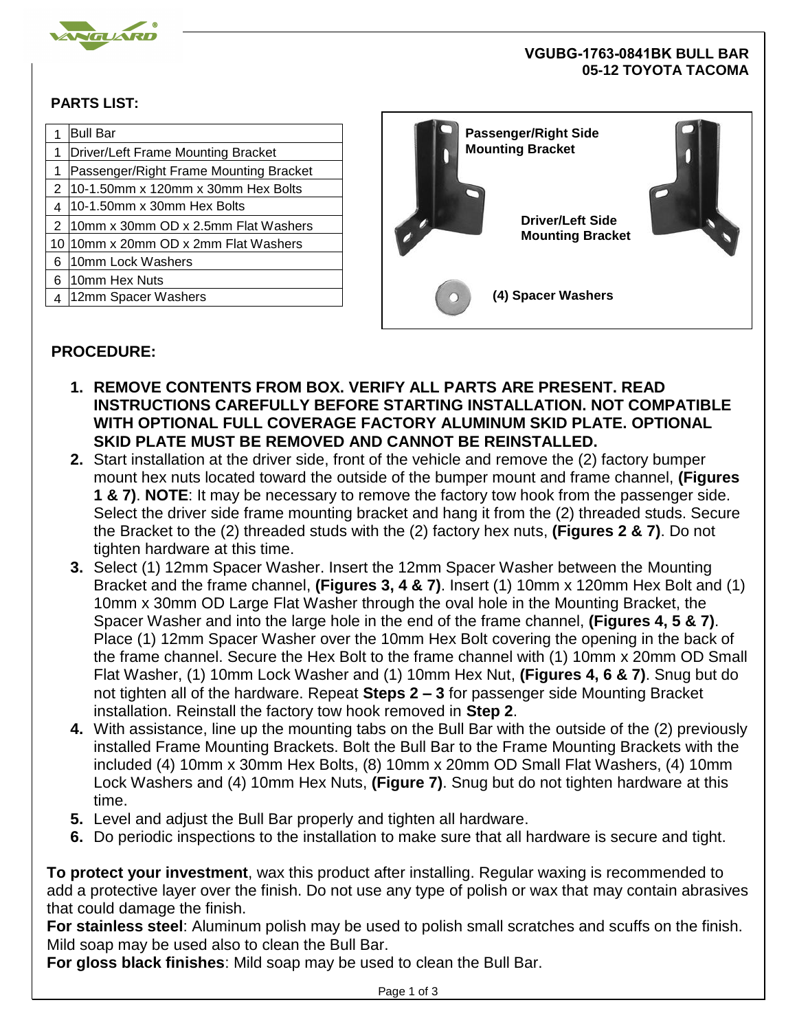

## **VGUBG-1763-0841BK BULL BAR 05-12 TOYOTA TACOMA**

## **PARTS LIST:**

|   | <b>Bull Bar</b>                        | <b>Passenger/Right Side</b><br><b>Mounting Bracket</b> |  |
|---|----------------------------------------|--------------------------------------------------------|--|
|   | Driver/Left Frame Mounting Bracket     |                                                        |  |
|   | Passenger/Right Frame Mounting Bracket |                                                        |  |
|   | 10-1.50mm x 120mm x 30mm Hex Bolts     |                                                        |  |
|   | $10-1.50$ mm x 30mm Hex Bolts          |                                                        |  |
|   | 10mm x 30mm OD x 2.5mm Flat Washers    | <b>Driver/Left Side</b>                                |  |
|   | 10 10 mm x 20 mm OD x 2mm Flat Washers | <b>Mounting Bracket</b>                                |  |
| 6 | l10mm Lock Washers                     |                                                        |  |
| 6 | 10mm Hex Nuts                          |                                                        |  |
|   | 12mm Spacer Washers                    | (4) Spacer Washers                                     |  |
|   |                                        |                                                        |  |

## **PROCEDURE:**

- **1. REMOVE CONTENTS FROM BOX. VERIFY ALL PARTS ARE PRESENT. READ INSTRUCTIONS CAREFULLY BEFORE STARTING INSTALLATION. NOT COMPATIBLE WITH OPTIONAL FULL COVERAGE FACTORY ALUMINUM SKID PLATE. OPTIONAL SKID PLATE MUST BE REMOVED AND CANNOT BE REINSTALLED.**
- **2.** Start installation at the driver side, front of the vehicle and remove the (2) factory bumper mount hex nuts located toward the outside of the bumper mount and frame channel, **(Figures 1 & 7)**. **NOTE**: It may be necessary to remove the factory tow hook from the passenger side. Select the driver side frame mounting bracket and hang it from the (2) threaded studs. Secure the Bracket to the (2) threaded studs with the (2) factory hex nuts, **(Figures 2 & 7)**. Do not tighten hardware at this time.
- **3.** Select (1) 12mm Spacer Washer. Insert the 12mm Spacer Washer between the Mounting Bracket and the frame channel, **(Figures 3, 4 & 7)**. Insert (1) 10mm x 120mm Hex Bolt and (1) 10mm x 30mm OD Large Flat Washer through the oval hole in the Mounting Bracket, the Spacer Washer and into the large hole in the end of the frame channel, **(Figures 4, 5 & 7)**. Place (1) 12mm Spacer Washer over the 10mm Hex Bolt covering the opening in the back of the frame channel. Secure the Hex Bolt to the frame channel with (1) 10mm x 20mm OD Small Flat Washer, (1) 10mm Lock Washer and (1) 10mm Hex Nut, **(Figures 4, 6 & 7)**. Snug but do not tighten all of the hardware. Repeat **Steps 2 – 3** for passenger side Mounting Bracket installation. Reinstall the factory tow hook removed in **Step 2**.
- **4.** With assistance, line up the mounting tabs on the Bull Bar with the outside of the (2) previously installed Frame Mounting Brackets. Bolt the Bull Bar to the Frame Mounting Brackets with the included (4) 10mm x 30mm Hex Bolts, (8) 10mm x 20mm OD Small Flat Washers, (4) 10mm Lock Washers and (4) 10mm Hex Nuts, **(Figure 7)**. Snug but do not tighten hardware at this time.
- **5.** Level and adjust the Bull Bar properly and tighten all hardware.
- **6.** Do periodic inspections to the installation to make sure that all hardware is secure and tight.

**To protect your investment**, wax this product after installing. Regular waxing is recommended to add a protective layer over the finish. Do not use any type of polish or wax that may contain abrasives that could damage the finish.

**For stainless steel**: Aluminum polish may be used to polish small scratches and scuffs on the finish. Mild soap may be used also to clean the Bull Bar.

**For gloss black finishes**: Mild soap may be used to clean the Bull Bar.

Page 1 of 3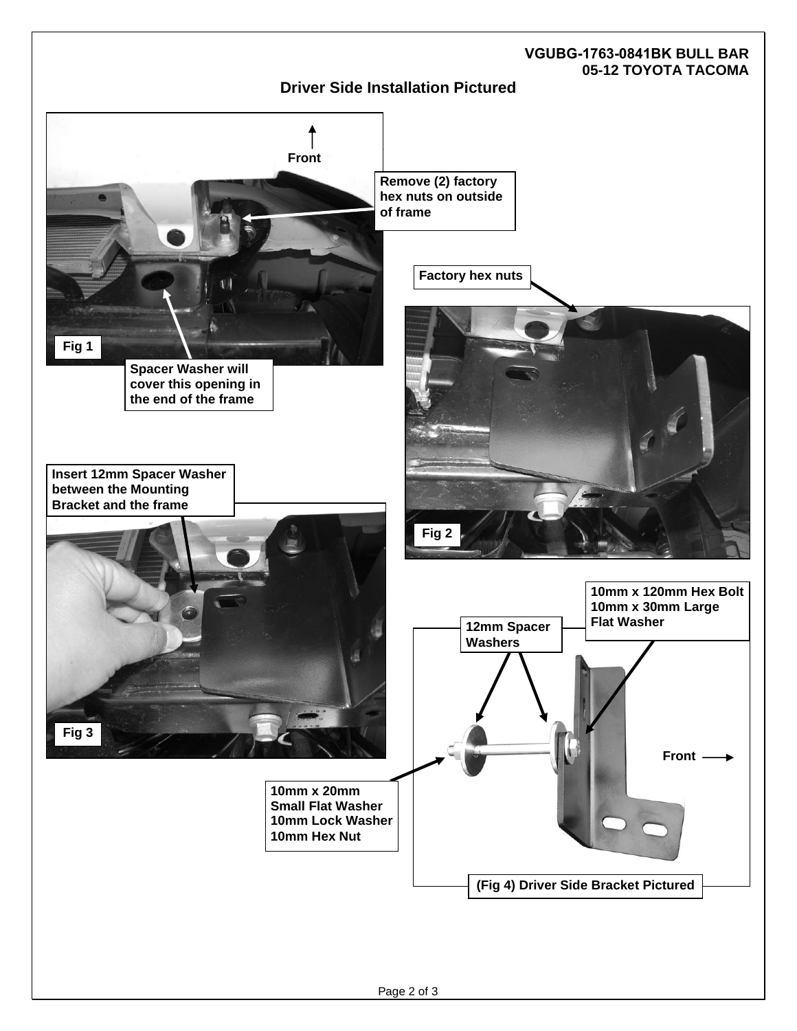